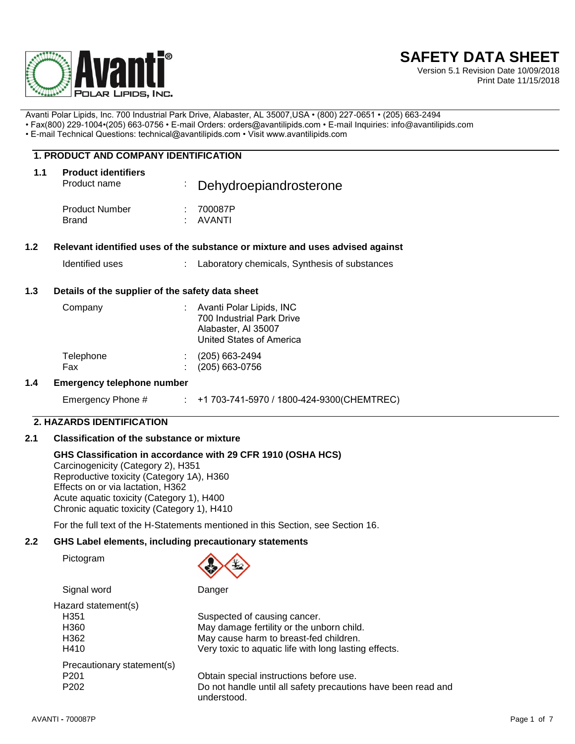

# **SAFETY DATA SHEET**

Version 5.1 Revision Date 10/09/2018 Print Date 11/15/2018

Avanti Polar Lipids, Inc. 700 Industrial Park Drive, Alabaster, AL 35007,USA • (800) 227-0651 • (205) 663-2494

• Fax(800) 229-1004•(205) 663-0756 • E-mail Orders: orders@avantilipids.com • E-mail Inquiries: info@avantilipids.com

• E-mail Technical Questions: technical@avantilipids.com • Visit www.avantilipids.com

### **1. PRODUCT AND COMPANY IDENTIFICATION**

| 1.1 | <b>Product identifiers</b><br>Product name | Dehydroepiandrosterone      |  |
|-----|--------------------------------------------|-----------------------------|--|
|     | <b>Product Number</b><br><b>Brand</b>      | : 700087P<br>$\cdot$ AVANTI |  |

### **1.2 Relevant identified uses of the substance or mixture and uses advised against**

Identified uses : Laboratory chemicals, Synthesis of substances

### **1.3 Details of the supplier of the safety data sheet**

| Company          | Avanti Polar Lipids, INC<br>700 Industrial Park Drive<br>Alabaster, Al 35007<br>United States of America |
|------------------|----------------------------------------------------------------------------------------------------------|
| Telephone<br>Fax | (205) 663-2494<br>$(205)$ 663-0756                                                                       |

### **1.4 Emergency telephone number**

Emergency Phone # : +1 703-741-5970 / 1800-424-9300(CHEMTREC)

### **2. HAZARDS IDENTIFICATION**

### **2.1 Classification of the substance or mixture**

### **GHS Classification in accordance with 29 CFR 1910 (OSHA HCS)**

Carcinogenicity (Category 2), H351 Reproductive toxicity (Category 1A), H360 Effects on or via lactation, H362 Acute aquatic toxicity (Category 1), H400 Chronic aquatic toxicity (Category 1), H410

For the full text of the H-Statements mentioned in this Section, see Section 16.

### **2.2 GHS Label elements, including precautionary statements**

Pictogram



Signal word Danger

| Hazard statement(s)        |                                                                              |
|----------------------------|------------------------------------------------------------------------------|
| H <sub>351</sub>           | Suspected of causing cancer.                                                 |
| H360                       | May damage fertility or the unborn child.                                    |
| H362                       | May cause harm to breast-fed children.                                       |
| H410                       | Very toxic to aquatic life with long lasting effects.                        |
| Precautionary statement(s) |                                                                              |
| P <sub>201</sub>           | Obtain special instructions before use.                                      |
| P <sub>202</sub>           | Do not handle until all safety precautions have been read and<br>understood. |
|                            |                                                                              |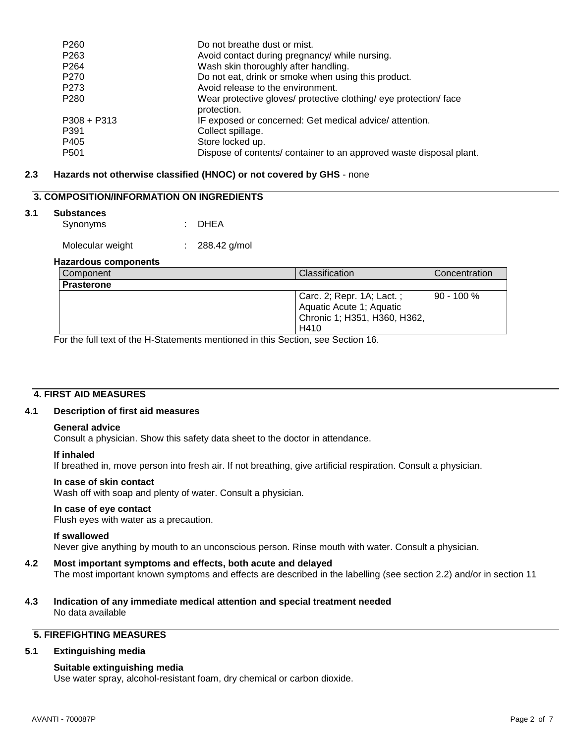| P260        | Do not breathe dust or mist.                                                     |
|-------------|----------------------------------------------------------------------------------|
| P263        | Avoid contact during pregnancy/ while nursing.                                   |
| P264        | Wash skin thoroughly after handling.                                             |
| P270        | Do not eat, drink or smoke when using this product.                              |
| P273        | Avoid release to the environment.                                                |
| P280        | Wear protective gloves/ protective clothing/ eye protection/ face<br>protection. |
| P308 + P313 | IF exposed or concerned: Get medical advice/attention.                           |
| P391        | Collect spillage.                                                                |
| P405        | Store locked up.                                                                 |
| P501        | Dispose of contents/ container to an approved waste disposal plant.              |
|             |                                                                                  |

### **2.3 Hazards not otherwise classified (HNOC) or not covered by GHS** - none

### **3. COMPOSITION/INFORMATION ON INGREDIENTS**

#### **3.1 Substances**

| Synonyms |  | : DHEA |
|----------|--|--------|
|          |  |        |

Molecular weight : 288.42 g/mol

#### **Hazardous components**

| Component         | <b>Classification</b>                                                                         | Concentration |
|-------------------|-----------------------------------------------------------------------------------------------|---------------|
| <b>Prasterone</b> |                                                                                               |               |
|                   | Carc. 2; Repr. 1A; Lact.;<br>Aquatic Acute 1; Aquatic<br>Chronic 1; H351, H360, H362,<br>H410 | $90 - 100 \%$ |

For the full text of the H-Statements mentioned in this Section, see Section 16.

### **4. FIRST AID MEASURES**

### **4.1 Description of first aid measures**

### **General advice**

Consult a physician. Show this safety data sheet to the doctor in attendance.

#### **If inhaled**

If breathed in, move person into fresh air. If not breathing, give artificial respiration. Consult a physician.

### **In case of skin contact**

Wash off with soap and plenty of water. Consult a physician.

### **In case of eye contact**

Flush eyes with water as a precaution.

#### **If swallowed**

Never give anything by mouth to an unconscious person. Rinse mouth with water. Consult a physician.

### **4.2 Most important symptoms and effects, both acute and delayed**

The most important known symptoms and effects are described in the labelling (see section 2.2) and/or in section 11

**4.3 Indication of any immediate medical attention and special treatment needed** No data available

### **5. FIREFIGHTING MEASURES**

### **5.1 Extinguishing media**

### **Suitable extinguishing media**

Use water spray, alcohol-resistant foam, dry chemical or carbon dioxide.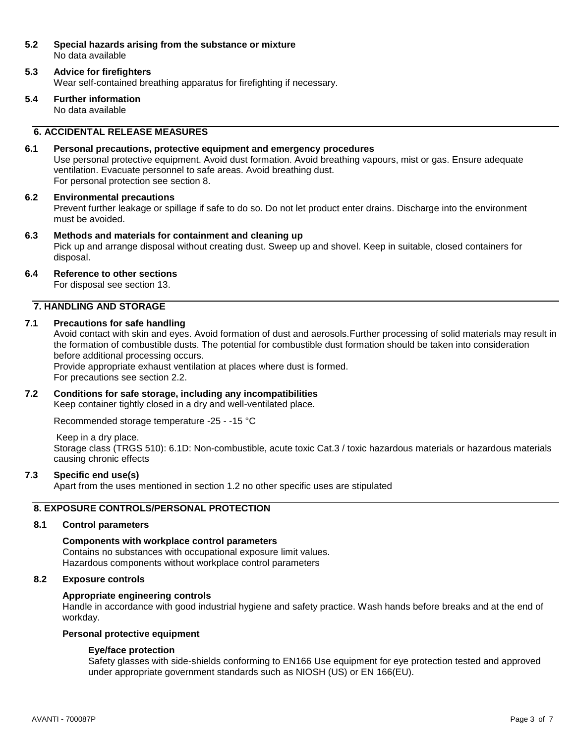### **5.2 Special hazards arising from the substance or mixture** No data available

## **5.3 Advice for firefighters**

Wear self-contained breathing apparatus for firefighting if necessary.

**5.4 Further information** No data available

### **6. ACCIDENTAL RELEASE MEASURES**

### **6.1 Personal precautions, protective equipment and emergency procedures**

Use personal protective equipment. Avoid dust formation. Avoid breathing vapours, mist or gas. Ensure adequate ventilation. Evacuate personnel to safe areas. Avoid breathing dust. For personal protection see section 8.

#### **6.2 Environmental precautions**

Prevent further leakage or spillage if safe to do so. Do not let product enter drains. Discharge into the environment must be avoided.

### **6.3 Methods and materials for containment and cleaning up**

Pick up and arrange disposal without creating dust. Sweep up and shovel. Keep in suitable, closed containers for disposal.

#### **6.4 Reference to other sections**

For disposal see section 13.

### **7. HANDLING AND STORAGE**

### **7.1 Precautions for safe handling**

Avoid contact with skin and eyes. Avoid formation of dust and aerosols.Further processing of solid materials may result in the formation of combustible dusts. The potential for combustible dust formation should be taken into consideration before additional processing occurs.

Provide appropriate exhaust ventilation at places where dust is formed. For precautions see section 2.2.

### **7.2 Conditions for safe storage, including any incompatibilities**

Keep container tightly closed in a dry and well-ventilated place.

Recommended storage temperature -25 - -15 °C

Keep in a dry place.

Storage class (TRGS 510): 6.1D: Non-combustible, acute toxic Cat.3 / toxic hazardous materials or hazardous materials causing chronic effects

### **7.3 Specific end use(s)**

Apart from the uses mentioned in section 1.2 no other specific uses are stipulated

### **8. EXPOSURE CONTROLS/PERSONAL PROTECTION**

#### **8.1 Control parameters**

### **Components with workplace control parameters**

Contains no substances with occupational exposure limit values. Hazardous components without workplace control parameters

### **8.2 Exposure controls**

### **Appropriate engineering controls**

Handle in accordance with good industrial hygiene and safety practice. Wash hands before breaks and at the end of workday.

### **Personal protective equipment**

### **Eye/face protection**

Safety glasses with side-shields conforming to EN166 Use equipment for eye protection tested and approved under appropriate government standards such as NIOSH (US) or EN 166(EU).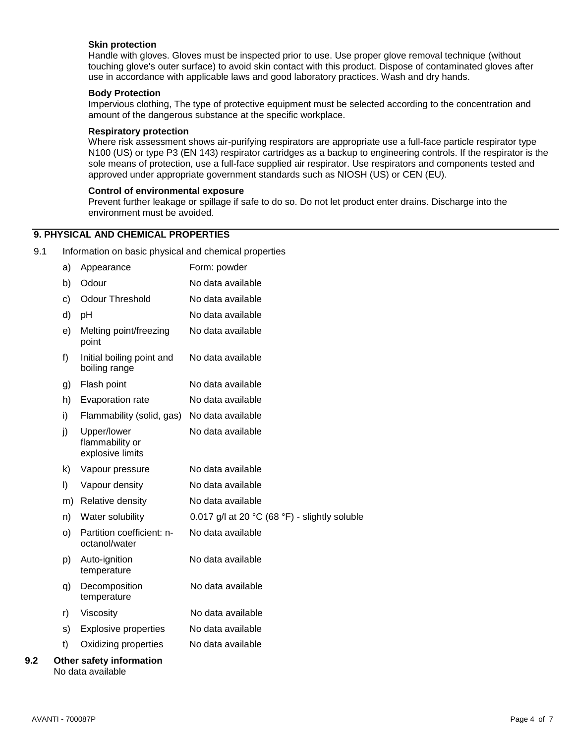### **Skin protection**

Handle with gloves. Gloves must be inspected prior to use. Use proper glove removal technique (without touching glove's outer surface) to avoid skin contact with this product. Dispose of contaminated gloves after use in accordance with applicable laws and good laboratory practices. Wash and dry hands.

#### **Body Protection**

Impervious clothing, The type of protective equipment must be selected according to the concentration and amount of the dangerous substance at the specific workplace.

#### **Respiratory protection**

Where risk assessment shows air-purifying respirators are appropriate use a full-face particle respirator type N100 (US) or type P3 (EN 143) respirator cartridges as a backup to engineering controls. If the respirator is the sole means of protection, use a full-face supplied air respirator. Use respirators and components tested and approved under appropriate government standards such as NIOSH (US) or CEN (EU).

#### **Control of environmental exposure**

Prevent further leakage or spillage if safe to do so. Do not let product enter drains. Discharge into the environment must be avoided.

### **9. PHYSICAL AND CHEMICAL PROPERTIES**

9.1 Information on basic physical and chemical properties

|     | a) | Appearance                                         | Form: powder                                                      |
|-----|----|----------------------------------------------------|-------------------------------------------------------------------|
|     | b) | Odour                                              | No data available                                                 |
|     | c) | <b>Odour Threshold</b>                             | No data available                                                 |
|     | d) | рH                                                 | No data available                                                 |
|     | e) | Melting point/freezing<br>point                    | No data available                                                 |
|     | f) | Initial boiling point and<br>boiling range         | No data available                                                 |
|     | g) | Flash point                                        | No data available                                                 |
|     | h) | Evaporation rate                                   | No data available                                                 |
|     | i) | Flammability (solid, gas)                          | No data available                                                 |
|     | j) | Upper/lower<br>flammability or<br>explosive limits | No data available                                                 |
|     | k) | Vapour pressure                                    | No data available                                                 |
|     | I) | Vapour density                                     | No data available                                                 |
|     | m) | Relative density                                   | No data available                                                 |
|     | n) | Water solubility                                   | 0.017 g/l at 20 $^{\circ}$ C (68 $^{\circ}$ F) - slightly soluble |
|     | O) | Partition coefficient: n-<br>octanol/water         | No data available                                                 |
|     | p) | Auto-ignition<br>temperature                       | No data available                                                 |
|     | q) | Decomposition<br>temperature                       | No data available                                                 |
|     | r) | Viscosity                                          | No data available                                                 |
|     | s) | <b>Explosive properties</b>                        | No data available                                                 |
|     | t) | Oxidizing properties                               | No data available                                                 |
| 9.2 |    | Other safety information                           |                                                                   |

#### AVANTI **-** 700087P Page 4 of 7

No data available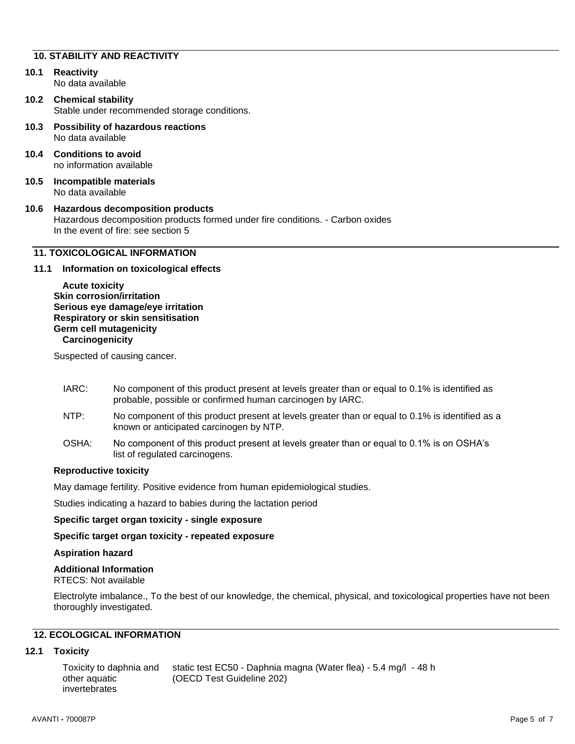#### **10. STABILITY AND REACTIVITY**

- **10.1 Reactivity** No data available
- **10.2 Chemical stability** Stable under recommended storage conditions.
- **10.3 Possibility of hazardous reactions** No data available
- **10.4 Conditions to avoid** no information available
- **10.5 Incompatible materials** No data available

#### **10.6 Hazardous decomposition products** Hazardous decomposition products formed under fire conditions. - Carbon oxides In the event of fire: see section 5

### **11. TOXICOLOGICAL INFORMATION**

### **11.1 Information on toxicological effects**

**Acute toxicity Skin corrosion/irritation Serious eye damage/eye irritation Respiratory or skin sensitisation Germ cell mutagenicity Carcinogenicity**

Suspected of causing cancer.

- IARC: No component of this product present at levels greater than or equal to 0.1% is identified as probable, possible or confirmed human carcinogen by IARC.
- NTP: No component of this product present at levels greater than or equal to 0.1% is identified as a known or anticipated carcinogen by NTP.
- OSHA: No component of this product present at levels greater than or equal to 0.1% is on OSHA's list of regulated carcinogens.

### **Reproductive toxicity**

May damage fertility. Positive evidence from human epidemiological studies.

Studies indicating a hazard to babies during the lactation period

### **Specific target organ toxicity - single exposure**

**Specific target organ toxicity - repeated exposure**

### **Aspiration hazard**

### **Additional Information**

RTECS: Not available

Electrolyte imbalance., To the best of our knowledge, the chemical, physical, and toxicological properties have not been thoroughly investigated.

### **12. ECOLOGICAL INFORMATION**

### **12.1 Toxicity**

Toxicity to daphnia and other aquatic invertebrates static test EC50 - Daphnia magna (Water flea) - 5.4 mg/l - 48 h (OECD Test Guideline 202)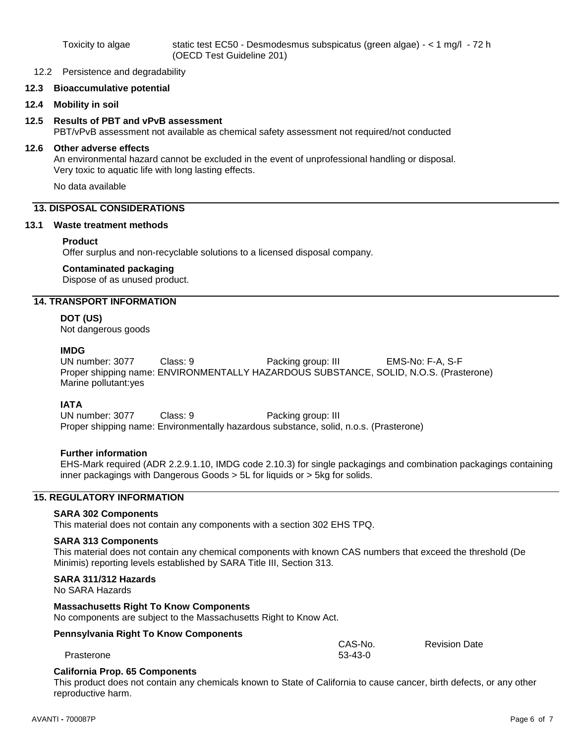#### 12.2 Persistence and degradability

### **12.3 Bioaccumulative potential**

**12.4 Mobility in soil**

### **12.5 Results of PBT and vPvB assessment**

PBT/vPvB assessment not available as chemical safety assessment not required/not conducted

### **12.6 Other adverse effects**

An environmental hazard cannot be excluded in the event of unprofessional handling or disposal. Very toxic to aquatic life with long lasting effects.

No data available

### **13. DISPOSAL CONSIDERATIONS**

#### **13.1 Waste treatment methods**

#### **Product**

Offer surplus and non-recyclable solutions to a licensed disposal company.

### **Contaminated packaging**

Dispose of as unused product.

### **14. TRANSPORT INFORMATION**

#### **DOT (US)**

Not dangerous goods

#### **IMDG**

UN number: 3077 Class: 9 Packing group: III EMS-No: F-A, S-F Proper shipping name: ENVIRONMENTALLY HAZARDOUS SUBSTANCE, SOLID, N.O.S. (Prasterone) Marine pollutant:yes

### **IATA**

UN number: 3077 Class: 9 Packing group: III Proper shipping name: Environmentally hazardous substance, solid, n.o.s. (Prasterone)

### **Further information**

EHS-Mark required (ADR 2.2.9.1.10, IMDG code 2.10.3) for single packagings and combination packagings containing inner packagings with Dangerous Goods > 5L for liquids or > 5kg for solids.

### **15. REGULATORY INFORMATION**

#### **SARA 302 Components**

This material does not contain any components with a section 302 EHS TPQ.

#### **SARA 313 Components**

This material does not contain any chemical components with known CAS numbers that exceed the threshold (De Minimis) reporting levels established by SARA Title III, Section 313.

### **SARA 311/312 Hazards**

No SARA Hazards

### **Massachusetts Right To Know Components**

No components are subject to the Massachusetts Right to Know Act.

### **Pennsylvania Right To Know Components**

CAS-No. 53-43-0

Revision Date

| Prasterone |
|------------|
|------------|

#### **California Prop. 65 Components**

This product does not contain any chemicals known to State of California to cause cancer, birth defects, or any other reproductive harm.